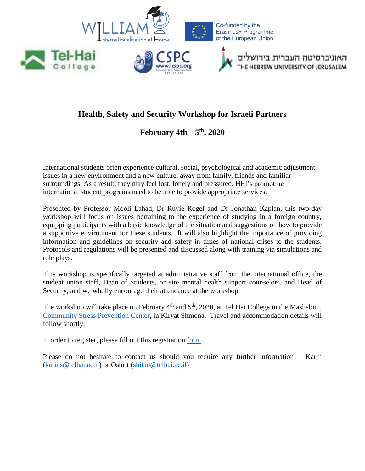

# **Health, Safety and Security Workshop for Israeli Partners**

# **February 4th – 5 th, 2020**

International students often experience cultural, social, psychological and academic adjustment issues in a new environment and a new culture, away from family, friends and familiar surroundings. As a result, they may feel lost, lonely and pressured. HEI's promoting international student programs need to be able to provide appropriate services.

Presented by Professor Mooli Lahad, Dr Ruvie Rogel and Dr Jonathan Kaplan, this two-day workshop will focus on issues pertaining to the experience of studying in a foreign country, equipping participants with a basic knowledge of the situation and suggestions on how to provide a supportive environment for these students. It will also highlight the importance of providing information and guidelines on security and safety in times of national crises to the students. Protocols and regulations will be presented and discussed along with training via simulations and role plays.

This workshop is specifically targeted at administrative staff from the international office, the student union staff, Dean of Students, on-site mental health support counselors, and Head of Security, and we wholly encourage their attendance at the workshop.

The workshop will take place on February  $4<sup>th</sup>$  and  $5<sup>th</sup>$ , 2020, at Tel Hai College in the Mashabim, [Community Stress Prevention Center,](https://www.icspc.org/en/cspc-disaster-managment/) in Kiryat Shmona. Travel and accommodation details will follow shortly.

In order to register, please fill out this registration [form](https://docs.google.com/forms/d/1b4RuL5DqbKvI_XXwXrx5GzG2k-dwvnaq23wOY8CTluk/edit)

Please do not hesitate to contact us should you require any further information – Karin [\(karins@telhai.ac.il\)](mailto:karins@telhai.ac.il) or Oshrit [\(shitao@telhai.ac.il\)](mailto:shitao@telhai.ac.il)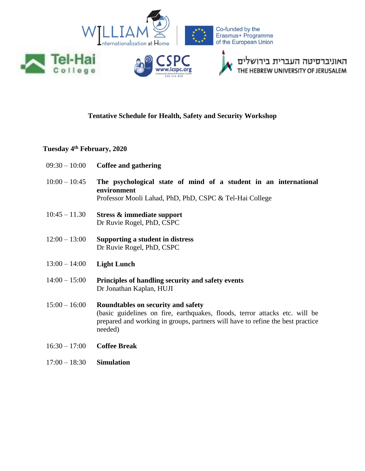

## **Tentative Schedule for Health, Safety and Security Workshop**

## **Tuesday 4th February, 2020**

- 09:30 10:00 **Coffee and gathering**
- 10:00 10:45 **The psychological state of mind of a student in an international environment** Professor Mooli Lahad, PhD, PhD, CSPC & Tel-Hai College
- 10:45 11.30 **Stress & immediate support** Dr Ruvie Rogel, PhD, CSPC
- 12:00 13:00 **Supporting a student in distress** Dr Ruvie Rogel, PhD, CSPC
- 13:00 14:00 **Light Lunch**
- 14:00 15:00 **Principles of handling security and safety events** Dr Jonathan Kaplan, HUJI
- 15:00 16:00 **Roundtables on security and safety** (basic guidelines on fire, earthquakes, floods, terror attacks etc. will be prepared and working in groups, partners will have to refine the best practice needed)
- 16:30 17:00 **Coffee Break**
- 17:00 18:30 **Simulation**